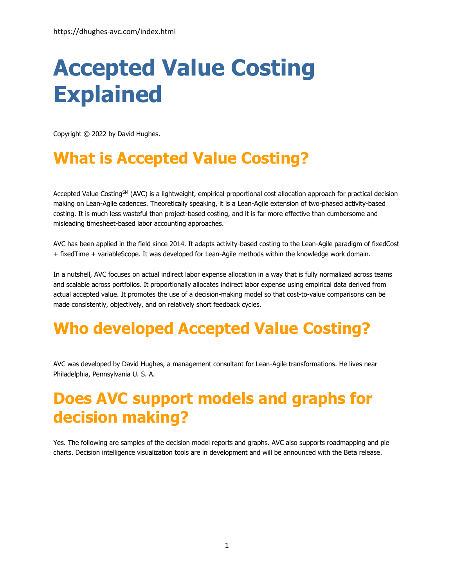# **Accepted Value Costing Explained**

Copyright © 2022 by David Hughes.

# **What is Accepted Value Costing?**

Accepted Value Costing<sup>SM</sup> (AVC) is a lightweight, empirical proportional cost allocation approach for practical decision making on Lean-Agile cadences. Theoretically speaking, it is a Lean-Agile extension of two-phased activity-based costing. It is much less wasteful than project-based costing, and it is far more effective than cumbersome and misleading timesheet-based labor accounting approaches.

AVC has been applied in the field since 2014. It adapts activity-based costing to the Lean-Agile paradigm of fixedCost + fixedTime + variableScope. It was developed for Lean-Agile methods within the knowledge work domain.

In a nutshell, AVC focuses on actual indirect labor expense allocation in a way that is fully normalized across teams and scalable across portfolios. It proportionally allocates indirect labor expense using empirical data derived from actual accepted value. It promotes the use of a decision-making model so that cost-to-value comparisons can be made consistently, objectively, and on relatively short feedback cycles.

# **Who developed Accepted Value Costing?**

AVC was developed by David Hughes, a management consultant for Lean-Agile transformations. He lives near Philadelphia, Pennsylvania U. S. A.

### **Does AVC support models and graphs for decision making?**

Yes. The following are samples of the decision model reports and graphs. AVC also supports roadmapping and pie charts. Decision intelligence visualization tools are in development and will be announced with the Beta release.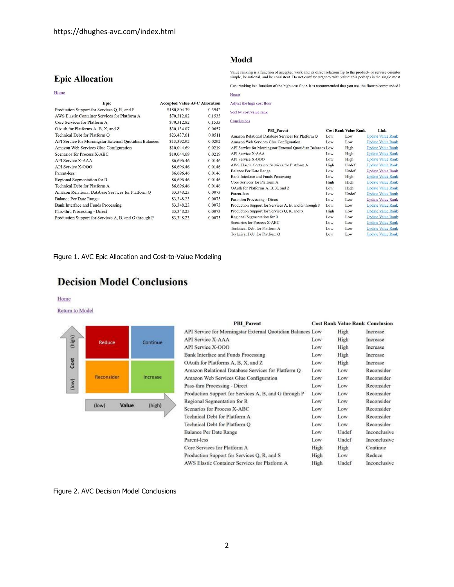### **Epic Allocation**

#### Home

| Epic                                                    | <b>Accepted Value AVC Allocation</b> |        |
|---------------------------------------------------------|--------------------------------------|--------|
| Production Support for Services Q, R, and S             | \$180,804.39                         | 0.3942 |
| AWS Elastic Container Services for Platform A           | \$70,312.82                          | 0.1533 |
| Core Services for Platform A                            | \$70,312.82                          | 0.1533 |
| OAuth for Platforms A, B, X, and Z                      | \$30,134.07                          | 0.0657 |
| Technical Debt for Platform O                           | \$23,437.61                          | 0.0511 |
| API Service for Morningstar External Quotidian Balances | \$13,392.92                          | 0.0292 |
| Amazon Web Services Glue Configuration                  | \$10,044.69                          | 0.0219 |
| Scenarios for Process X-ABC                             | \$10,044.69                          | 0.0219 |
| <b>API Service X-AAA</b>                                | \$6,696.46                           | 0.0146 |
| API Service X-OOO                                       | \$6,696.46                           | 0.0146 |
| Parent-less                                             | \$6,696.46                           | 0.0146 |
| Regional Segmentation for R                             | \$6,696.46                           | 0.0146 |
| Technical Debt for Platform A                           | \$6,696.46                           | 0.0146 |
| Amazon Relational Database Services for Platform Q      | \$3,348.23                           | 0.0073 |
| <b>Balance Per Date Range</b>                           | \$3,348.23                           | 0.0073 |
| Bank Interface and Funds Processing                     | \$3,348.23                           | 0.0073 |
| Pass-thru Processing - Direct                           | \$3,348.23                           | 0.0073 |
| Production Support for Services A, B, and G through P   | \$3,348.23                           | 0.0073 |

#### **Model**

Value ranking is a function of <u>accepted</u> work and its direct relationship to the product- or service-oriented simple, be rational, and be consistent. Do not conflate urgency with value; this perhaps is the single most

Cost ranking is a function of the high cost floor. It is recommended that you use the floor recommended  $\mathfrak k$ Home

Adjust the high cost floor

Sort by cost/value rank

Conclusions

| <b>PBI</b> Parent                                           |      | <b>Cost Rank Value Rank</b> | Link                     |
|-------------------------------------------------------------|------|-----------------------------|--------------------------|
| Amazon Relational Database Services for Platform Q          | Low  | Low                         | <b>Update Value Rank</b> |
| Amazon Web Services Glue Configuration                      | Low  | Low                         | <b>Update Value Rank</b> |
| API Service for Morningstar External Quotidian Balances Low |      | High                        | <b>Update Value Rank</b> |
| API Service X-AAA                                           | Low  | High                        | <b>Update Value Rank</b> |
| <b>API Service X-OOO</b>                                    | Low  | High                        | <b>Update Value Rank</b> |
| AWS Elastic Container Services for Platform A               | High | Undef                       | <b>Update Value Rank</b> |
| <b>Balance Per Date Range</b>                               | Low  | Undef                       | <b>Update Value Rank</b> |
| Bank Interface and Funds Processing                         | Low  | High                        | <b>Update Value Rank</b> |
| Core Services for Platform A                                | High | High                        | <b>Update Value Rank</b> |
| OAuth for Platforms A, B, X, and Z                          | Low  | High                        | <b>Update Value Rank</b> |
| Parent-less                                                 | Low  | Undef                       | <b>Update Value Rank</b> |
| Pass-thru Processing - Direct                               | Low  | Low                         | <b>Update Value Rank</b> |
| Production Support for Services A, B, and G through P       | Low  | Low                         | <b>Update Value Rank</b> |
| Production Support for Services Q, R, and S                 | High | Low                         | <b>Update Value Rank</b> |
| Regional Segmentation for R                                 | Low  | Low                         | <b>Update Value Rank</b> |
| Scenarios for Process X-ABC                                 | Low  | Low                         | <b>Update Value Rank</b> |
| Technical Debt for Platform A                               | Low  | Low                         | <b>Update Value Rank</b> |
| Technical Debt for Platform O                               | Low  | Low                         | <b>Update Value Rank</b> |

Figure 1. AVC Epic Allocation and Cost-to-Value Modeling

### **Decision Model Conclusions**

#### Home

#### Return to Model



| <b>PBI</b> Parent                                           |      | <b>Cost Rank Value Rank Conclusion</b> |              |
|-------------------------------------------------------------|------|----------------------------------------|--------------|
| API Service for Morningstar External Quotidian Balances Low |      | High                                   | Increase     |
| <b>API Service X-AAA</b>                                    | Low  | High                                   | Increase     |
| API Service X-OOO                                           | Low  | High                                   | Increase     |
| Bank Interface and Funds Processing                         | Low  | High                                   | Increase     |
| OAuth for Platforms A, B, X, and Z                          | Low  | High                                   | Increase     |
| Amazon Relational Database Services for Platform Q          | Low  | Low                                    | Reconsider   |
| Amazon Web Services Glue Configuration                      | Low  | Low                                    | Reconsider   |
| Pass-thru Processing - Direct                               | Low  | Low                                    | Reconsider   |
| Production Support for Services A, B, and G through P       | Low  | Low                                    | Reconsider   |
| Regional Segmentation for R                                 | Low  | Low                                    | Reconsider   |
| Scenarios for Process X-ABC                                 | Low  | Low                                    | Reconsider   |
| <b>Technical Debt for Platform A</b>                        | Low  | Low                                    | Reconsider   |
| Technical Debt for Platform O                               | Low  | Low                                    | Reconsider   |
| <b>Balance Per Date Range</b>                               | Low  | Undef                                  | Inconclusive |
| Parent-less                                                 | Low  | Undef                                  | Inconclusive |
| Core Services for Platform A                                | High | High                                   | Continue     |
| Production Support for Services Q, R, and S                 | High | Low                                    | Reduce       |
| AWS Elastic Container Services for Platform A               | High | Undef                                  | Inconclusive |

Figure 2. AVC Decision Model Conclusions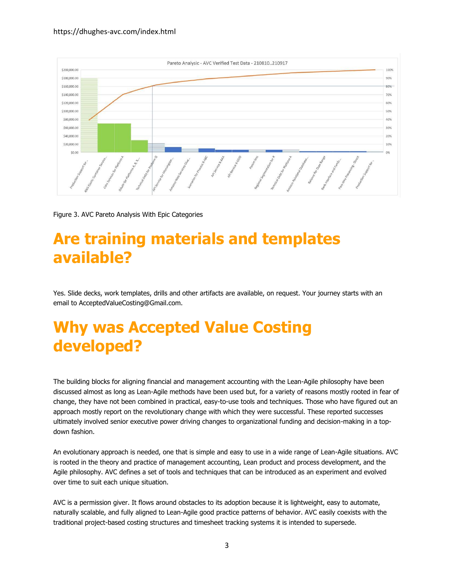

Figure 3. AVC Pareto Analysis With Epic Categories

### **Are training materials and templates available?**

Yes. Slide decks, work templates, drills and other artifacts are available, on request. Your journey starts with an email to AcceptedValueCosting@Gmail.com.

### **Why was Accepted Value Costing developed?**

The building blocks for aligning financial and management accounting with the Lean-Agile philosophy have been discussed almost as long as Lean-Agile methods have been used but, for a variety of reasons mostly rooted in fear of change, they have not been combined in practical, easy-to-use tools and techniques. Those who have figured out an approach mostly report on the revolutionary change with which they were successful. These reported successes ultimately involved senior executive power driving changes to organizational funding and decision-making in a topdown fashion.

An evolutionary approach is needed, one that is simple and easy to use in a wide range of Lean-Agile situations. AVC is rooted in the theory and practice of management accounting, Lean product and process development, and the Agile philosophy. AVC defines a set of tools and techniques that can be introduced as an experiment and evolved over time to suit each unique situation.

AVC is a permission giver. It flows around obstacles to its adoption because it is lightweight, easy to automate, naturally scalable, and fully aligned to Lean-Agile good practice patterns of behavior. AVC easily coexists with the traditional project-based costing structures and timesheet tracking systems it is intended to supersede.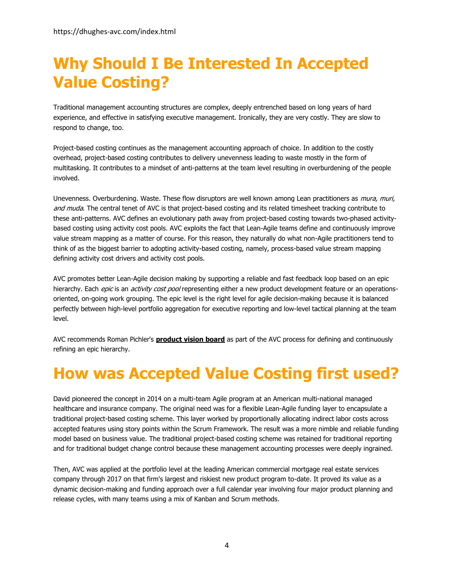### **Why Should I Be Interested In Accepted Value Costing?**

Traditional management accounting structures are complex, deeply entrenched based on long years of hard experience, and effective in satisfying executive management. Ironically, they are very costly. They are slow to respond to change, too.

Project-based costing continues as the management accounting approach of choice. In addition to the costly overhead, project-based costing contributes to delivery unevenness leading to waste mostly in the form of multitasking. It contributes to a mindset of anti-patterns at the team level resulting in overburdening of the people involved.

Unevenness. Overburdening. Waste. These flow disruptors are well known among Lean practitioners as *mura, muri,* and muda. The central tenet of AVC is that project-based costing and its related timesheet tracking contribute to these anti-patterns. AVC defines an evolutionary path away from project-based costing towards two-phased activitybased costing using activity cost pools. AVC exploits the fact that Lean-Agile teams define and continuously improve value stream mapping as a matter of course. For this reason, they naturally do what non-Agile practitioners tend to think of as the biggest barrier to adopting activity-based costing, namely, process-based value stream mapping defining activity cost drivers and activity cost pools.

AVC promotes better Lean-Agile decision making by supporting a reliable and fast feedback loop based on an epic hierarchy. Each epic is an activity cost pool representing either a new product development feature or an operationsoriented, on-going work grouping. The epic level is the right level for agile decision-making because it is balanced perfectly between high-level portfolio aggregation for executive reporting and low-level tactical planning at the team level.

AVC recommends Roman Pichler's **[product vision board](https://www.romanpichler.com/tools/product-vision-board/)** as part of the AVC process for defining and continuously refining an epic hierarchy.

### **How was Accepted Value Costing first used?**

David pioneered the concept in 2014 on a multi-team Agile program at an American multi-national managed healthcare and insurance company. The original need was for a flexible Lean-Agile funding layer to encapsulate a traditional project-based costing scheme. This layer worked by proportionally allocating indirect labor costs across accepted features using story points within the Scrum Framework. The result was a more nimble and reliable funding model based on business value. The traditional project-based costing scheme was retained for traditional reporting and for traditional budget change control because these management accounting processes were deeply ingrained.

Then, AVC was applied at the portfolio level at the leading American commercial mortgage real estate services company through 2017 on that firm's largest and riskiest new product program to-date. It proved its value as a dynamic decision-making and funding approach over a full calendar year involving four major product planning and release cycles, with many teams using a mix of Kanban and Scrum methods.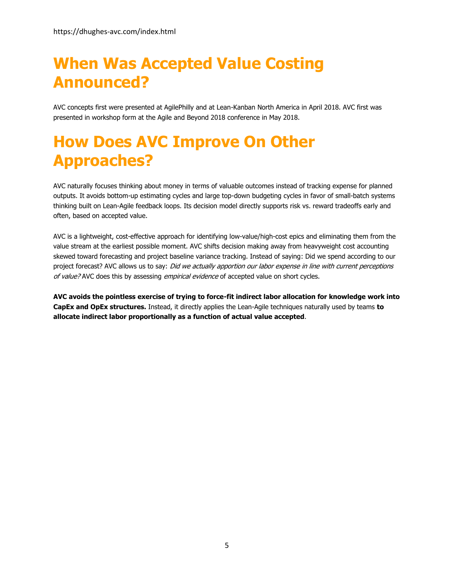### **When Was Accepted Value Costing Announced?**

AVC concepts first were presented at AgilePhilly and at Lean-Kanban North America in April 2018. AVC first was presented in workshop form at the Agile and Beyond 2018 conference in May 2018.

### **How Does AVC Improve On Other Approaches?**

AVC naturally focuses thinking about money in terms of valuable outcomes instead of tracking expense for planned outputs. It avoids bottom-up estimating cycles and large top-down budgeting cycles in favor of small-batch systems thinking built on Lean-Agile feedback loops. Its decision model directly supports risk vs. reward tradeoffs early and often, based on accepted value.

AVC is a lightweight, cost-effective approach for identifying low-value/high-cost epics and eliminating them from the value stream at the earliest possible moment. AVC shifts decision making away from heavyweight cost accounting skewed toward forecasting and project baseline variance tracking. Instead of saying: Did we spend according to our project forecast? AVC allows us to say: Did we actually apportion our labor expense in line with current perceptions of value? AVC does this by assessing empirical evidence of accepted value on short cycles.

**AVC avoids the pointless exercise of trying to force-fit indirect labor allocation for knowledge work into CapEx and OpEx structures.** Instead, it directly applies the Lean-Agile techniques naturally used by teams **to allocate indirect labor proportionally as a function of actual value accepted**.